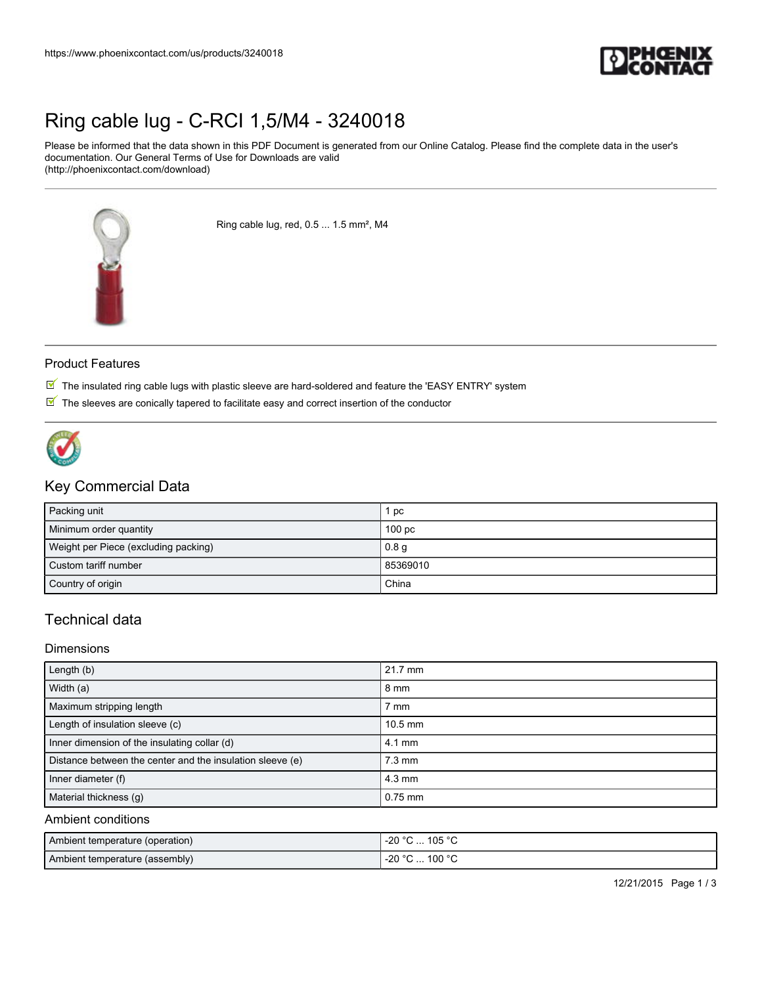

## [Ring cable lug - C-RCI 1,5/M4 - 3240018](https://www.phoenixcontact.com/us/products/3240018)

Please be informed that the data shown in this PDF Document is generated from our Online Catalog. Please find the complete data in the user's documentation. Our General Terms of Use for Downloads are valid (http://phoenixcontact.com/download)



Ring cable lug, red, 0.5 ... 1.5 mm², M4

#### Product Features

- $\mathbb N$  The insulated ring cable lugs with plastic sleeve are hard-soldered and feature the 'EASY ENTRY' system
- $\mathbb N$  The sleeves are conically tapered to facilitate easy and correct insertion of the conductor



### Key Commercial Data

| Packing unit                         | pc                |
|--------------------------------------|-------------------|
| Minimum order quantity               | 100 <sub>pc</sub> |
| Weight per Piece (excluding packing) | 0.8 <sub>q</sub>  |
| Custom tariff number                 | 85369010          |
| Country of origin                    | China             |

## Technical data

#### **Dimensions**

| Length (b)                                                | 21.7 mm          |
|-----------------------------------------------------------|------------------|
| Width (a)                                                 | 8 mm             |
| Maximum stripping length                                  | 7 mm             |
| Length of insulation sleeve (c)                           | $10.5$ mm        |
| Inner dimension of the insulating collar (d)              | $4.1 \text{ mm}$ |
| Distance between the center and the insulation sleeve (e) | $7.3 \text{ mm}$ |
| Inner diameter (f)                                        | $4.3 \text{ mm}$ |
| Material thickness (q)                                    | $0.75$ mm        |

#### Ambient conditions

| Ambient temperature (operation) | l -20 °C … 105 °C |
|---------------------------------|-------------------|
| Ambient temperature (assembly)  | l -20 °C  100 °C  |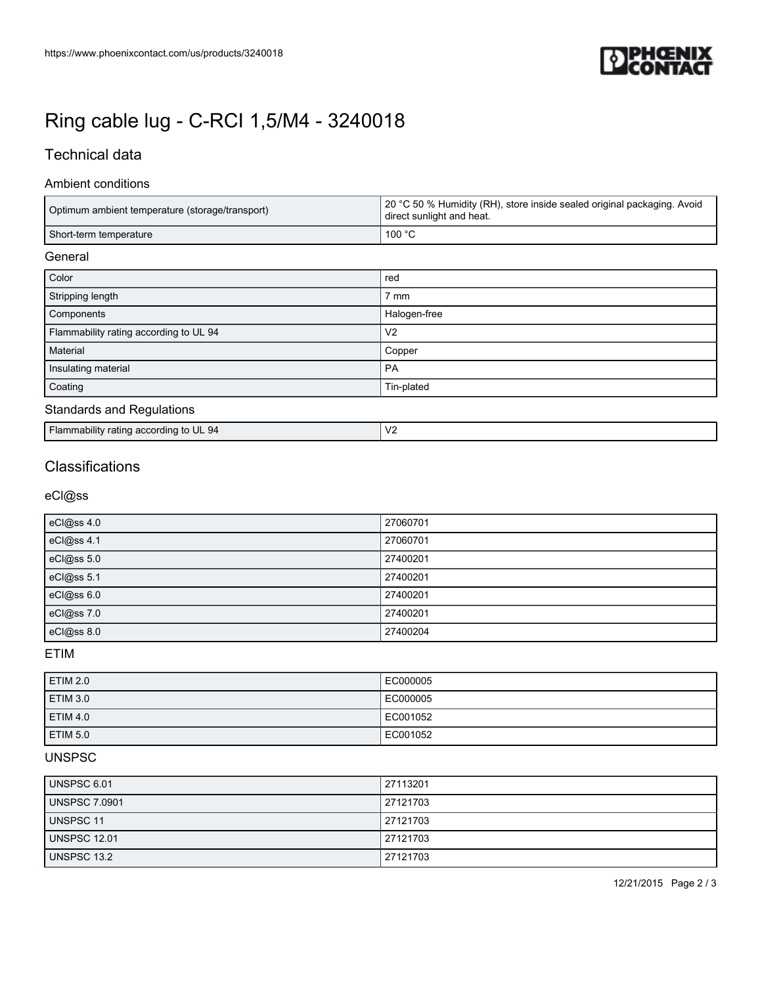

# [Ring cable lug - C-RCI 1,5/M4 - 3240018](https://www.phoenixcontact.com/us/products/3240018)

## Technical data

#### Ambient conditions

| Optimum ambient temperature (storage/transport) | 20 °C 50 % Humidity (RH), store inside sealed original packaging. Avoid<br>direct sunlight and heat. |
|-------------------------------------------------|------------------------------------------------------------------------------------------------------|
| Short-term temperature                          | 100 $^{\circ}$ C                                                                                     |
| General                                         |                                                                                                      |
| Color                                           | red                                                                                                  |
| Stripping length                                | 7 mm                                                                                                 |
| Components                                      | Halogen-free                                                                                         |

| Flammability rating according to UL 94 | V <sub>2</sub> |
|----------------------------------------|----------------|
| Material                               | Copper         |
| Insulating material                    | PA             |
| Coating                                | Tin-plated     |
|                                        |                |

### Standards and Regulations

| <br>a according<br>mability<br>$\cdot$ - $\cdot$ m<br>ratıno<br>, to UL 94<br>аш | $\cdot$<br>$\mathbf{v}$<br>. |
|----------------------------------------------------------------------------------|------------------------------|

## **Classifications**

eCl@ss

| eCl@ss 4.0 | 27060701 |
|------------|----------|
| eCl@ss 4.1 | 27060701 |
| eCl@ss 5.0 | 27400201 |
| eCl@ss 5.1 | 27400201 |
| eCl@ss 6.0 | 27400201 |
| eCl@ss 7.0 | 27400201 |
| eCl@ss 8.0 | 27400204 |

ETIM

| <b>ETIM 2.0</b> | EC000005 |
|-----------------|----------|
| ETIM 3.0        | EC000005 |
| ETIM 4.0        | EC001052 |
| ETIM 5.0        | EC001052 |

#### UNSPSC

| <b>UNSPSC 6.01</b>  | 27113201 |
|---------------------|----------|
| UNSPSC 7.0901       | 27121703 |
| UNSPSC 11           | 27121703 |
| <b>UNSPSC 12.01</b> | 27121703 |
| UNSPSC 13.2         | 27121703 |